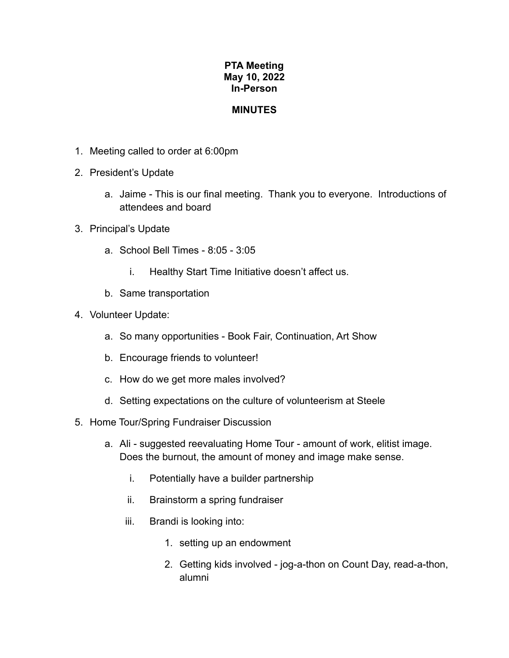## **PTA Meeting May 10, 2022 In-Person**

## **MINUTES**

- 1. Meeting called to order at 6:00pm
- 2. President's Update
	- a. Jaime This is our final meeting. Thank you to everyone. Introductions of attendees and board
- 3. Principal's Update
	- a. School Bell Times 8:05 3:05
		- i. Healthy Start Time Initiative doesn't affect us.
	- b. Same transportation
- 4. Volunteer Update:
	- a. So many opportunities Book Fair, Continuation, Art Show
	- b. Encourage friends to volunteer!
	- c. How do we get more males involved?
	- d. Setting expectations on the culture of volunteerism at Steele
- 5. Home Tour/Spring Fundraiser Discussion
	- a. Ali suggested reevaluating Home Tour amount of work, elitist image. Does the burnout, the amount of money and image make sense.
		- i. Potentially have a builder partnership
		- ii. Brainstorm a spring fundraiser
		- iii. Brandi is looking into:
			- 1. setting up an endowment
			- 2. Getting kids involved jog-a-thon on Count Day, read-a-thon, alumni